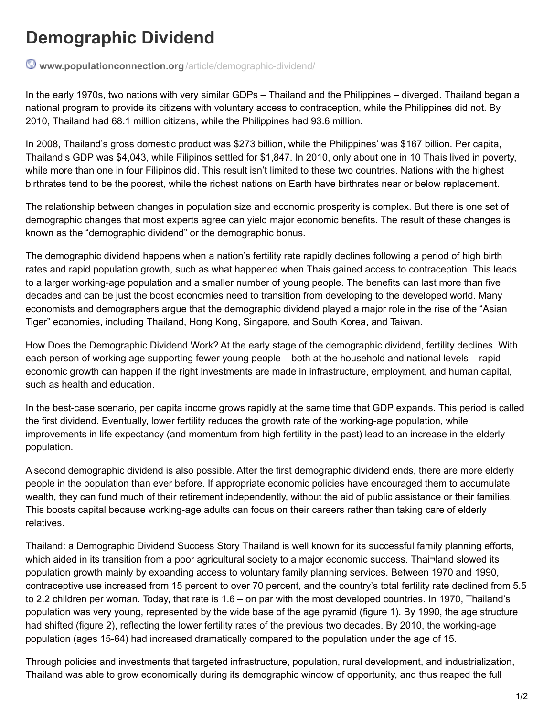## **Demographic Dividend**

**[www.populationconnection.org](http://www.populationconnection.org/article/demographic-dividend/)**/article/demographic-dividend/

In the early 1970s, two nations with very similar GDPs – Thailand and the Philippines – diverged. Thailand began a national program to provide its citizens with voluntary access to contraception, while the Philippines did not. By 2010, Thailand had 68.1 million citizens, while the Philippines had 93.6 million.

In 2008, Thailand's gross domestic product was \$273 billion, while the Philippines' was \$167 billion. Per capita, Thailand's GDP was \$4,043, while Filipinos settled for \$1,847. In 2010, only about one in 10 Thais lived in poverty, while more than one in four Filipinos did. This result isn't limited to these two countries. Nations with the highest birthrates tend to be the poorest, while the richest nations on Earth have birthrates near or below replacement.

The relationship between changes in population size and economic prosperity is complex. But there is one set of demographic changes that most experts agree can yield major economic benefits. The result of these changes is known as the "demographic dividend" or the demographic bonus.

The demographic dividend happens when a nation's fertility rate rapidly declines following a period of high birth rates and rapid population growth, such as what happened when Thais gained access to contraception. This leads to a larger working-age population and a smaller number of young people. The benefits can last more than five decades and can be just the boost economies need to transition from developing to the developed world. Many economists and demographers argue that the demographic dividend played a major role in the rise of the "Asian Tiger" economies, including Thailand, Hong Kong, Singapore, and South Korea, and Taiwan.

How Does the Demographic Dividend Work? At the early stage of the demographic dividend, fertility declines. With each person of working age supporting fewer young people – both at the household and national levels – rapid economic growth can happen if the right investments are made in infrastructure, employment, and human capital, such as health and education.

In the best-case scenario, per capita income grows rapidly at the same time that GDP expands. This period is called the first dividend. Eventually, lower fertility reduces the growth rate of the working-age population, while improvements in life expectancy (and momentum from high fertility in the past) lead to an increase in the elderly population.

A second demographic dividend is also possible. After the first demographic dividend ends, there are more elderly people in the population than ever before. If appropriate economic policies have encouraged them to accumulate wealth, they can fund much of their retirement independently, without the aid of public assistance or their families. This boosts capital because working-age adults can focus on their careers rather than taking care of elderly relatives.

Thailand: a Demographic Dividend Success Story Thailand is well known for its successful family planning efforts, which aided in its transition from a poor agricultural society to a major economic success. Thai¬land slowed its population growth mainly by expanding access to voluntary family planning services. Between 1970 and 1990, contraceptive use increased from 15 percent to over 70 percent, and the country's total fertility rate declined from 5.5 to 2.2 children per woman. Today, that rate is 1.6 – on par with the most developed countries. In 1970, Thailand's population was very young, represented by the wide base of the age pyramid (figure 1). By 1990, the age structure had shifted (figure 2), reflecting the lower fertility rates of the previous two decades. By 2010, the working-age population (ages 15-64) had increased dramatically compared to the population under the age of 15.

Through policies and investments that targeted infrastructure, population, rural development, and industrialization, Thailand was able to grow economically during its demographic window of opportunity, and thus reaped the full